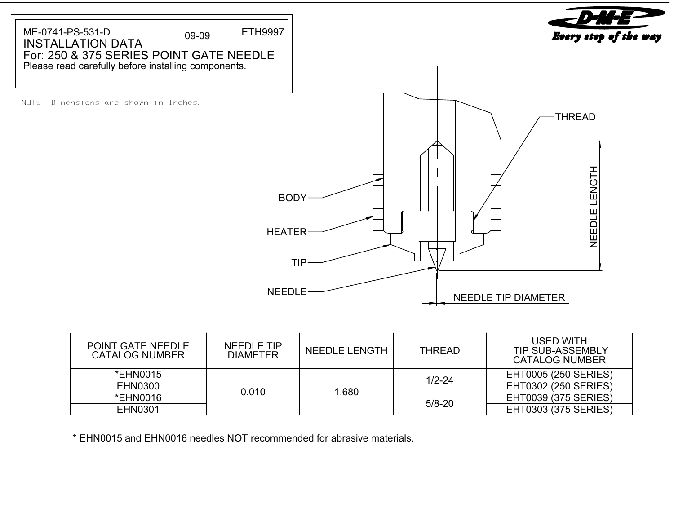

| *EHN0015       | 0.010 | .680 | $1/2 - 24$ | EHT0005 (250 SERIES)        |
|----------------|-------|------|------------|-----------------------------|
| <b>EHN0300</b> |       |      |            | <b>EHT0302 (250 SERIES)</b> |
| *EHN0016       |       |      | $5/8 - 20$ | <b>EHT0039 (375 SERIES)</b> |
| EHN0301        |       |      |            | <b>EHT0303 (375 SERIES)</b> |
|                |       |      |            |                             |

\* EHN0015 and EHN0016 needles NOT recommended for abrasive materials.